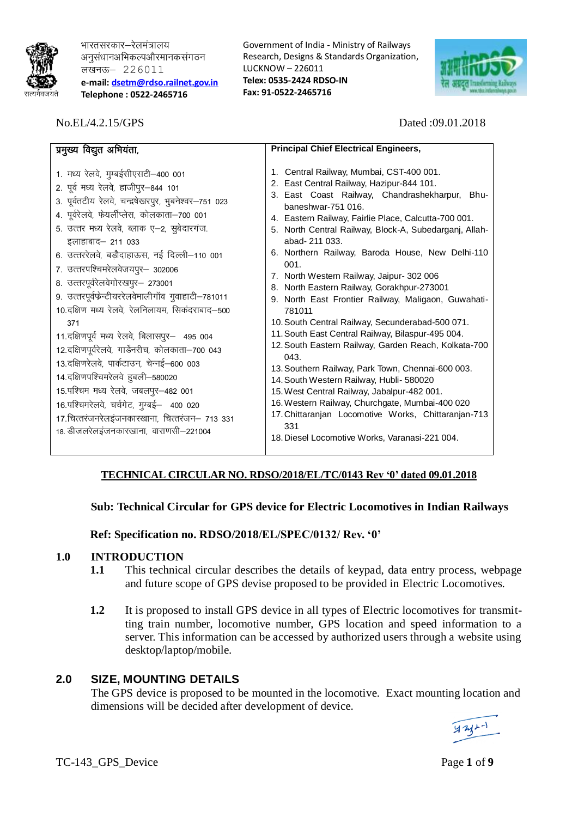

भारतसरकार–रेलमंत्रालय अनुसंधानअभिकल्पऔरमानकसंगठन लखनऊ- 226011 **e-mail: [dsetm@rdso.](mailto:dsetm@rdso)railnet.gov.in Telephone : 0522-2465716**

No.EL/4.2.15/GPS Dated :09.01.2018

Government of India - Ministry of Railways Research, Designs & Standards Organization, LUCKNOW – 226011 **Telex: 0535-2424 RDSO-IN Fax: 91-0522-2465716**



| प्रमुख्य विद्युत अभियंता,                                                                                                                                                                                                                                                                                                                                                                                                                                                                                                                                                                                                                                                                                                                                                                                                                                                                                                 | <b>Principal Chief Electrical Engineers,</b>                                                                                                                                                                                                                                                                                                                                                                                                                                                                                                                                                                                                                                                                                                                                                                                                                                                                                                                       |
|---------------------------------------------------------------------------------------------------------------------------------------------------------------------------------------------------------------------------------------------------------------------------------------------------------------------------------------------------------------------------------------------------------------------------------------------------------------------------------------------------------------------------------------------------------------------------------------------------------------------------------------------------------------------------------------------------------------------------------------------------------------------------------------------------------------------------------------------------------------------------------------------------------------------------|--------------------------------------------------------------------------------------------------------------------------------------------------------------------------------------------------------------------------------------------------------------------------------------------------------------------------------------------------------------------------------------------------------------------------------------------------------------------------------------------------------------------------------------------------------------------------------------------------------------------------------------------------------------------------------------------------------------------------------------------------------------------------------------------------------------------------------------------------------------------------------------------------------------------------------------------------------------------|
| 1. मध्य रेलवे, मुम्बईसीएसटी–400 001<br>2. पूर्व मध्य रेलवे, हाजीपुर-844 101<br>3. पूर्वतटीय रेलवे, चन्द्रषेखरपुर, भुबनेश्वर-751 023<br>4. पूर्वरेलवे, फेयर्लीप्लेस, कोलकाता-700 001<br>5. उत्तर मध्य रेलवे, ब्लाक ए-2, सुबेदारगंज.<br>abad- 211 033.<br>इलाहाबाद- 211 033<br>6. उत्तररेलवे, बड़ौदाहाऊस, नई दिल्ली–110 001<br>001.<br>7. उत्तरपश्चिमरेलवेजयपुर- 302006<br>8. उत्तरपूर्वरेलवेगोरखपुर- 273001<br>9. उत्तरपूर्वफेन्टीयररेलवेमालीगॉव गुवाहाटी-781011<br>10.दक्षिण मध्य रेलवे, रेलनिलायम, सिकंदराबाद–500<br>781011<br>371<br>11. दक्षिणपूर्वमध्य रेलवे, बिलासपुर- 495 004<br>12.दक्षिणपूर्वरेलवे, गार्डेनरीच, कोलकाता-700 043<br>043.<br>13.दक्षिणरेलवे, पार्कटाउन, चेन्नई-600 003<br>14.दक्षिणपश्चिमरेलवे हुबली-580020<br>15.पश्चिम मध्य रेलवे, जबलपुर-482 001<br>16.पश्चिमरेलवे, चर्चगेट, मुम्बई - 400 020<br>17.चित्तरंजनरेलइंजनकारखाना, चित्तरंजन– 713 331<br>331<br>18. डीजलरेलइंजनकारखाना, वाराणसी-221004 | 1. Central Railway, Mumbai, CST-400 001.<br>2. East Central Railway, Hazipur-844 101.<br>3. East Coast Railway, Chandrashekharpur, Bhu-<br>baneshwar-751 016.<br>4. Eastern Railway, Fairlie Place, Calcutta-700 001.<br>5. North Central Railway, Block-A, Subedarganj, Allah-<br>6. Northern Railway, Baroda House, New Delhi-110<br>7. North Western Railway, Jaipur- 302 006<br>8. North Eastern Railway, Gorakhpur-273001<br>9. North East Frontier Railway, Maligaon, Guwahati-<br>10. South Central Railway, Secunderabad-500 071.<br>11. South East Central Railway, Bilaspur-495 004.<br>12. South Eastern Railway, Garden Reach, Kolkata-700<br>13. Southern Railway, Park Town, Chennai-600 003.<br>14. South Western Railway, Hubli- 580020<br>15. West Central Railway, Jabalpur-482 001.<br>16. Western Railway, Churchgate, Mumbai-400 020<br>17. Chittaranjan Locomotive Works, Chittaranjan-713<br>18. Diesel Locomotive Works, Varanasi-221 004. |

# **TECHNICAL CIRCULAR NO. RDSO/2018/EL/TC/0143 Rev '0' dated 09.01.2018**

# **Sub: Technical Circular for GPS device for Electric Locomotives in Indian Railways**

# **Ref: Specification no. RDSO/2018/EL/SPEC/0132/ Rev. '0'**

### **1.0 INTRODUCTION**

- **1.1** This technical circular describes the details of keypad, data entry process, webpage and future scope of GPS devise proposed to be provided in Electric Locomotives.
- **1.2** It is proposed to install GPS device in all types of Electric locomotives for transmitting train number, locomotive number, GPS location and speed information to a server. This information can be accessed by authorized users through a website using desktop/laptop/mobile.

# **2.0 SIZE, MOUNTING DETAILS**

The GPS device is proposed to be mounted in the locomotive. Exact mounting location and dimensions will be decided after development of device.

TC-143 GPS Device Page 1 of **9**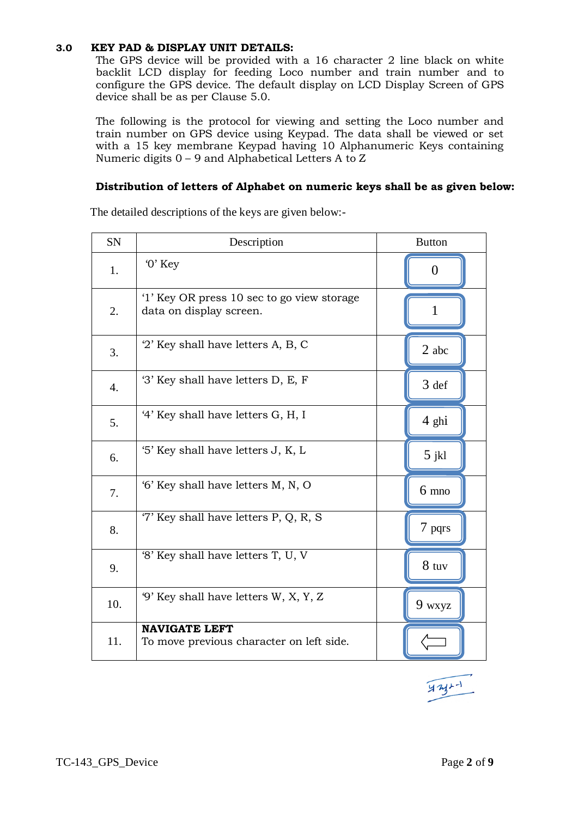# **3.0 KEY PAD & DISPLAY UNIT DETAILS:**

The GPS device will be provided with a 16 character 2 line black on white backlit LCD display for feeding Loco number and train number and to configure the GPS device. The default display on LCD Display Screen of GPS device shall be as per Clause 5.0.

The following is the protocol for viewing and setting the Loco number and train number on GPS device using Keypad. The data shall be viewed or set with a 15 key membrane Keypad having 10 Alphanumeric Keys containing Numeric digits 0 – 9 and Alphabetical Letters A to Z

### **Distribution of letters of Alphabet on numeric keys shall be as given below:**

| SN  | Description                                                           | <b>Button</b>   |
|-----|-----------------------------------------------------------------------|-----------------|
| 1.  | $0$ ' Key                                                             | $\theta$        |
| 2.  | '1' Key OR press 10 sec to go view storage<br>data on display screen. | 1               |
| 3.  | '2' Key shall have letters A, B, C                                    | $2$ abc $\,$    |
| 4.  | '3' Key shall have letters D, E, F                                    | 3 def           |
| 5.  | '4' Key shall have letters G, H, I                                    | 4 ghi           |
| 6.  | '5' Key shall have letters J, K, L                                    | $5$ jkl         |
| 7.  | '6' Key shall have letters M, N, O                                    | $6 \text{ mno}$ |
| 8.  | '7' Key shall have letters P, Q, R, S                                 | 7 pqrs          |
| 9.  | '8' Key shall have letters T, U, V                                    | $8$ tuv         |
| 10. | '9' Key shall have letters W, X, Y, Z                                 | 9 wxyz          |
| 11. | <b>NAVIGATE LEFT</b><br>To move previous character on left side.      |                 |

The detailed descriptions of the keys are given below:-

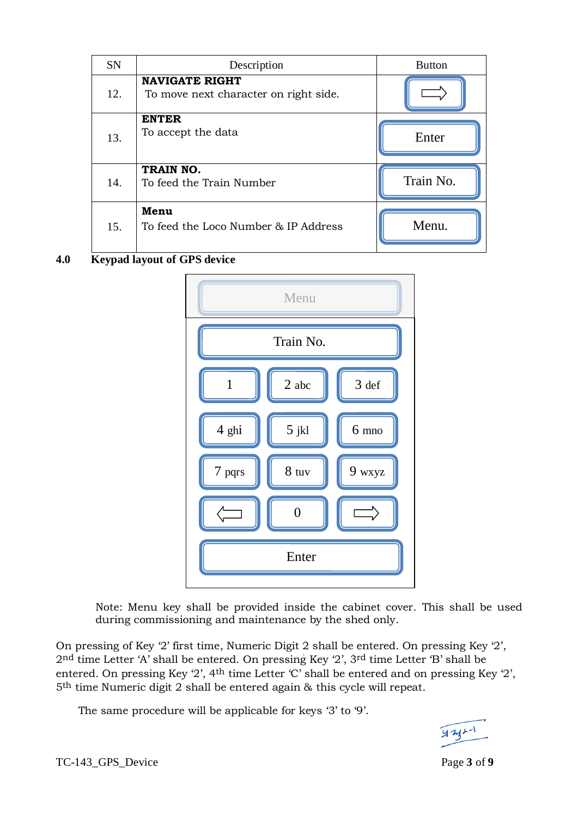| <b>SN</b> | Description                                                    | <b>Button</b> |
|-----------|----------------------------------------------------------------|---------------|
| 12.       | <b>NAVIGATE RIGHT</b><br>To move next character on right side. |               |
| 13.       | <b>ENTER</b><br>To accept the data                             | Enter         |
| 14.       | TRAIN NO.<br>To feed the Train Number                          | Train No.     |
| 15.       | Menu<br>To feed the Loco Number & IP Address                   | Menu.         |

# **4.0 Keypad layout of GPS device**



Note: Menu key shall be provided inside the cabinet cover. This shall be used during commissioning and maintenance by the shed only.

On pressing of Key '2' first time, Numeric Digit 2 shall be entered. On pressing Key '2', 2nd time Letter "A" shall be entered. On pressing Key "2", 3rd time Letter "B" shall be entered. On pressing Key  $2'$ , 4<sup>th</sup> time Letter  $C'$  shall be entered and on pressing Key  $2'$ , 5th time Numeric digit 2 shall be entered again & this cycle will repeat.

The same procedure will be applicable for keys '3' to '9'.



TC-143\_GPS\_Device Page **3** of **9**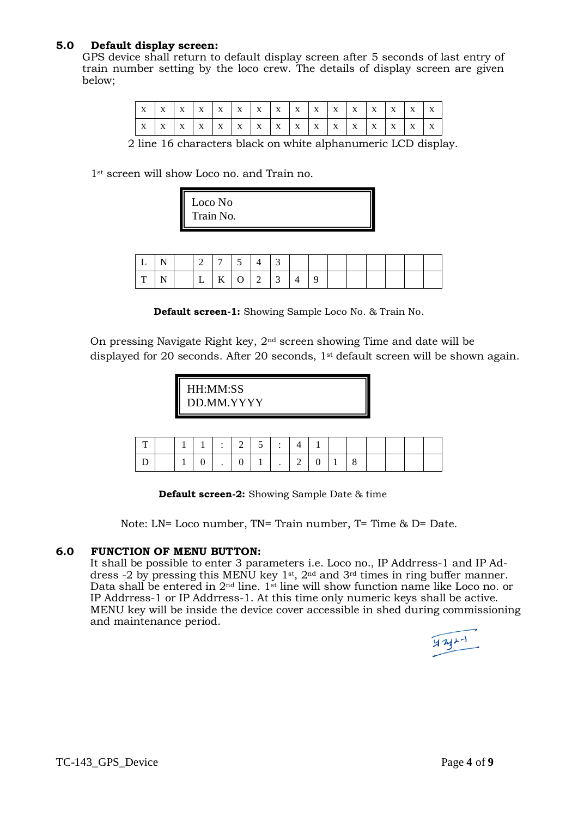### **5.0 Default display screen:**

GPS device shall return to default display screen after 5 seconds of last entry of train number setting by the loco crew. The details of display screen are given below;

|  | X X X X X X X X X X X X X X |  |  |  |  |  | $X$ $X$ |  |
|--|-----------------------------|--|--|--|--|--|---------|--|
|  |                             |  |  |  |  |  | $X$ $X$ |  |

2 line 16 characters black on white alphanumeric LCD display.

1<sup>st</sup> screen will show Loco no. and Train no.

|--|

|  | $\begin{array}{ccc} \boxed{2} & \boxed{7} \end{array}$ |  | $\mathbf{\Delta}$ |  |  |  |  |  |
|--|--------------------------------------------------------|--|-------------------|--|--|--|--|--|
|  | $\lfloor L \rfloor$ K $\lfloor O \rfloor$ 2 3 4        |  |                   |  |  |  |  |  |

**Default screen-1:** Showing Sample Loco No. & Train No.

On pressing Navigate Right key, 2nd screen showing Time and date will be displayed for 20 seconds. After 20 seconds, 1st default screen will be shown again.

| HH:MM:SS<br>DD.MM.YYYY |
|------------------------|
|------------------------|

|  |  | $1 \;   \; 1 \;   \; : \; 2 \;  $ | 151:14 |             |  |  |  |  |
|--|--|-----------------------------------|--------|-------------|--|--|--|--|
|  |  |                                   |        | $\cdot$   2 |  |  |  |  |

**Default screen-2:** Showing Sample Date & time

Note: LN= Loco number, TN= Train number, T= Time & D= Date.

### **6.0 FUNCTION OF MENU BUTTON:**

It shall be possible to enter 3 parameters i.e. Loco no., IP Addrress-1 and IP Address -2 by pressing this MENU key 1<sup>st</sup>, 2<sup>nd</sup> and 3<sup>rd</sup> times in ring buffer manner. Data shall be entered in 2<sup>nd</sup> line. 1<sup>st</sup> line will show function name like Loco no. or IP Addrress-1 or IP Addrress-1. At this time only numeric keys shall be active. MENU key will be inside the device cover accessible in shed during commissioning and maintenance period.

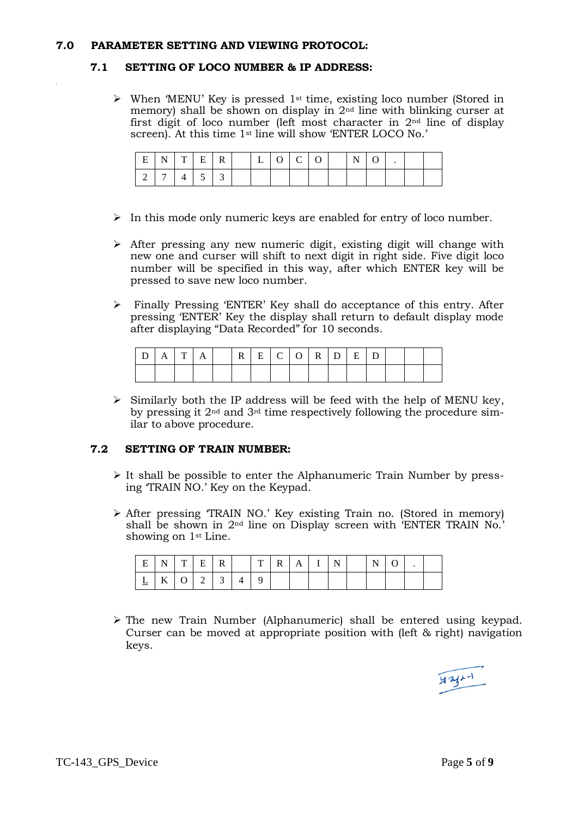#### **7.0 PARAMETER SETTING AND VIEWING PROTOCOL:**

#### **7.1 SETTING OF LOCO NUMBER & IP ADDRESS:**

 $\triangleright$  When 'MENU' Key is pressed 1<sup>st</sup> time, existing loco number (Stored in memory) shall be shown on display in 2nd line with blinking curser at first digit of loco number (left most character in 2nd line of display screen). At this time 1<sup>st</sup> line will show 'ENTER LOCO No.'

| $E_{\perp}$ |                                    |  |  |  |  | $N$   T   E   R   $\vert$   L   O   C   O   $\vert$ N |  |  |
|-------------|------------------------------------|--|--|--|--|-------------------------------------------------------|--|--|
|             | $\mid 7 \mid 4 \mid 5 \mid 3 \mid$ |  |  |  |  |                                                       |  |  |

- $\triangleright$  In this mode only numeric keys are enabled for entry of loco number.
- $\triangleright$  After pressing any new numeric digit, existing digit will change with new one and curser will shift to next digit in right side. Five digit loco number will be specified in this way, after which ENTER key will be pressed to save new loco number.
- Finally Pressing "ENTER" Key shall do acceptance of this entry. After pressing "ENTER" Key the display shall return to default display mode after displaying "Data Recorded" for 10 seconds.

| $D \mid A \mid T \mid A$ |  |  |  | R E C O R D E D |  |  |  |  |
|--------------------------|--|--|--|-----------------|--|--|--|--|
|                          |  |  |  |                 |  |  |  |  |

 $\triangleright$  Similarly both the IP address will be feed with the help of MENU key, by pressing it 2nd and 3rd time respectively following the procedure similar to above procedure.

#### **7.2 SETTING OF TRAIN NUMBER:**

- $\triangleright$  It shall be possible to enter the Alphanumeric Train Number by pressing "TRAIN NO." Key on the Keypad.
- $\triangleright$  After pressing TRAIN NO.' Key existing Train no. (Stored in memory) shall be shown in 2<sup>nd</sup> line on Display screen with 'ENTER TRAIN No.' showing on 1st Line.

|  |  | $E N T E R $ $ T R A I N $ |  |  |  | $\mathbb{E} \left[ \mathbf{N} \mid \mathbf{0} \right]$ |  |  |
|--|--|----------------------------|--|--|--|--------------------------------------------------------|--|--|
|  |  | $ K $ 0 2 3 4 5            |  |  |  |                                                        |  |  |

 $\triangleright$  The new Train Number (Alphanumeric) shall be entered using keypad. Curser can be moved at appropriate position with (left & right) navigation keys.

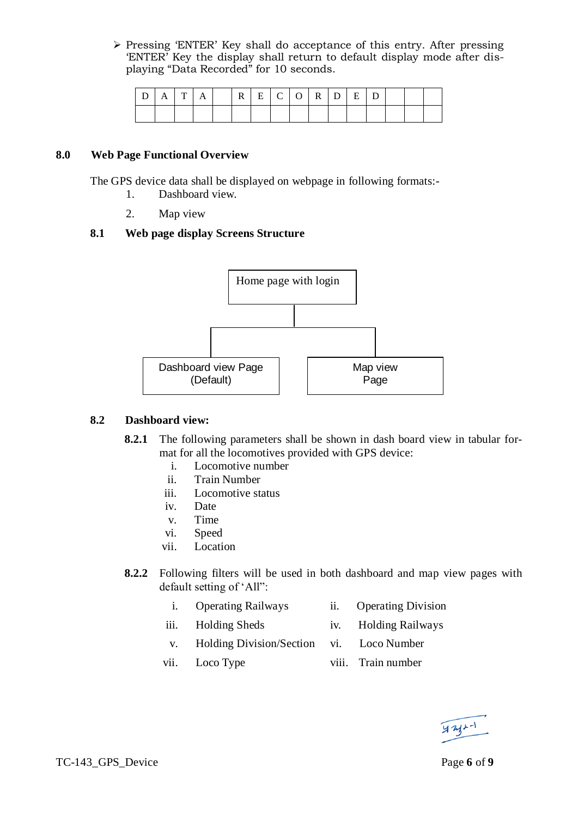$\triangleright$  Pressing 'ENTER' Key shall do acceptance of this entry. After pressing "ENTER" Key the display shall return to default display mode after displaying "Data Recorded" for 10 seconds.

| $ D A T A$ $ R E C O R D E D$ |  |  |  |  |  |  |  |  |
|-------------------------------|--|--|--|--|--|--|--|--|
|                               |  |  |  |  |  |  |  |  |

### **8.0 Web Page Functional Overview**

The GPS device data shall be displayed on webpage in following formats:-

- 1. Dashboard view.
- 2. Map view

# **8.1 Web page display Screens Structure**



### **8.2 Dashboard view:**

- **8.2.1** The following parameters shall be shown in dash board view in tabular format for all the locomotives provided with GPS device:
	- i. Locomotive number
	- ii. Train Number
	- iii. Locomotive status
	- iv. Date
	- v. Time
	- vi. Speed
	- vii. Location
- **8.2.2** Following filters will be used in both dashboard and map view pages with default setting of 'All":
	- i. Operating Railways ii. Operating Division
	- iii. Holding Sheds iv. Holding Railways
		-
	- v. Holding Division/Section vi. Loco Number
	- viii. Loco Type viii. Train number
- 

 $424 - 1$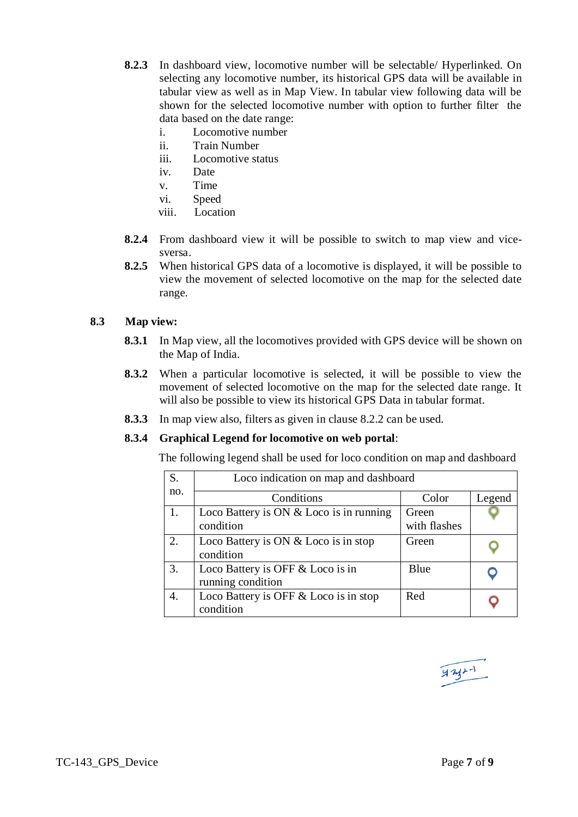- **8.2.3** In dashboard view, locomotive number will be selectable/ Hyperlinked. On selecting any locomotive number, its historical GPS data will be available in tabular view as well as in Map View. In tabular view following data will be shown for the selected locomotive number with option to further filter the data based on the date range:
	- i. Locomotive number
	- ii. Train Number
	- iii. Locomotive status
	- iv. Date
	- v. Time
	- vi. Speed
	- viii. Location
- **8.2.4** From dashboard view it will be possible to switch to map view and vicesversa.
- **8.2.5** When historical GPS data of a locomotive is displayed, it will be possible to view the movement of selected locomotive on the map for the selected date range.

# **8.3 Map view:**

- **8.3.1** In Map view, all the locomotives provided with GPS device will be shown on the Map of India.
- **8.3.2** When a particular locomotive is selected, it will be possible to view the movement of selected locomotive on the map for the selected date range. It will also be possible to view its historical GPS Data in tabular format.
- **8.3.3** In map view also, filters as given in clause 8.2.2 can be used.

# **8.3.4 Graphical Legend for locomotive on web portal**:

The following legend shall be used for loco condition on map and dashboard

| S.  | Loco indication on map and dashboard                  |                       |        |
|-----|-------------------------------------------------------|-----------------------|--------|
| no. | Conditions                                            | Color                 | Legend |
|     | Loco Battery is ON & Loco is in running<br>condition  | Green<br>with flashes |        |
| 2.  | Loco Battery is ON & Loco is in stop<br>condition     | Green                 |        |
| 3.  | Loco Battery is OFF & Loco is in<br>running condition | <b>B</b> lue          |        |
| 4.  | Loco Battery is OFF & Loco is in stop<br>condition    | Red                   |        |

$$
\frac{\sqrt{3}+1}{\sqrt{3}+1}
$$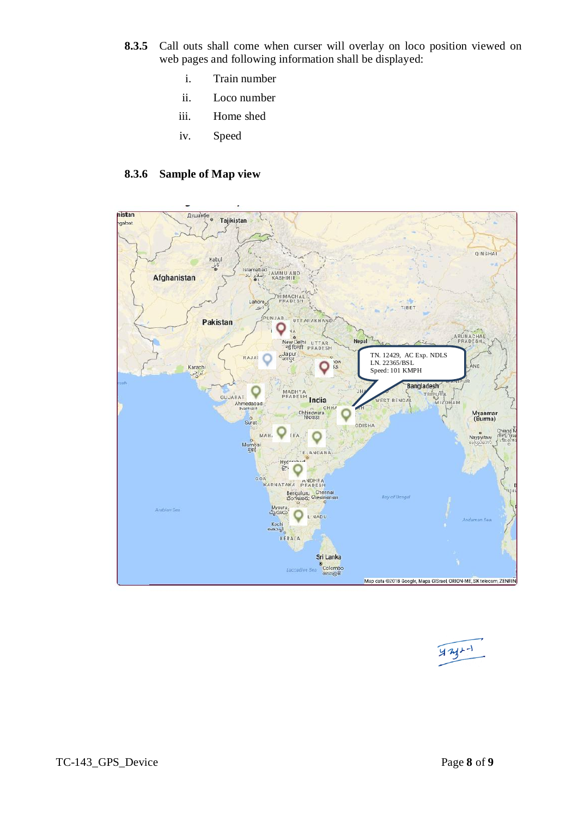- **8.3.5** Call outs shall come when curser will overlay on loco position viewed on web pages and following information shall be displayed:
	- i. Train number
	- ii. Loco number
	- iii. Home shed
	- iv. Speed

# **8.3.6 Sample of Map view**